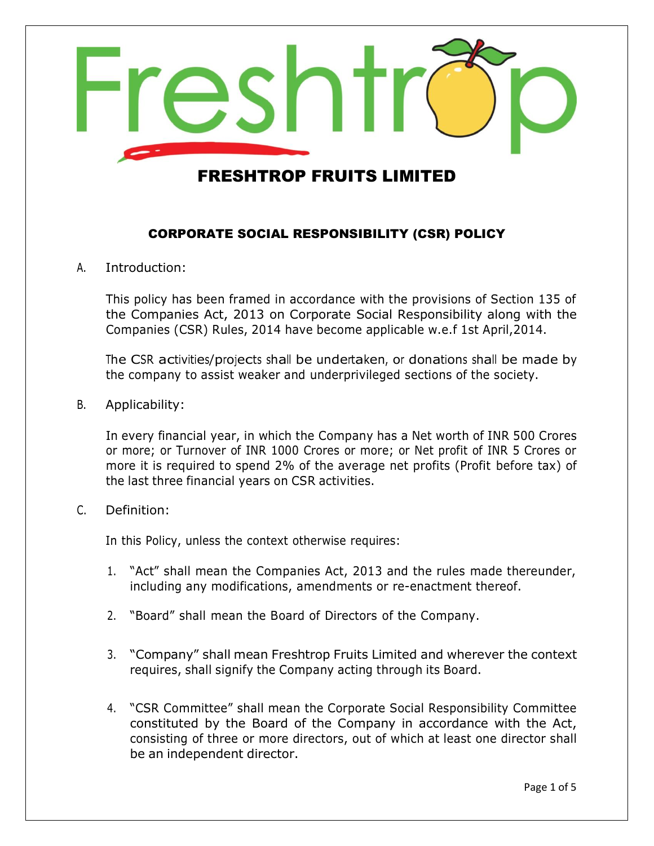

#### CORPORATE SOCIAL RESPONSIBILITY (CSR) POLICY

A. Introduction:

This policy has been framed in accordance with the provisions of Section 135 of the Companies Act, 2013 on Corporate Social Responsibility along with the Companies (CSR) Rules, 2014 have become applicable w.e.f 1st April,2014.

The CSR activities/projects shall be undertaken, or donations shall be made by the company to assist weaker and underprivileged sections of the society.

B. Applicability:

In every financial year, in which the Company has a Net worth of INR 500 Crores or more; or Turnover of INR 1000 Crores or more; or Net profit of INR 5 Crores or more it is required to spend 2% of the average net profits (Profit before tax) of the last three financial years on CSR activities.

#### C. Definition:

In this Policy, unless the context otherwise requires:

- 1. "Act" shall mean the Companies Act, 2013 and the rules made thereunder, including any modifications, amendments or re-enactment thereof.
- 2. "Board" shall mean the Board of Directors of the Company.
- 3. "Company" shall mean Freshtrop Fruits Limited and wherever the context requires, shall signify the Company acting through its Board.
- 4. "CSR Committee" shall mean the Corporate Social Responsibility Committee constituted by the Board of the Company in accordance with the Act, consisting of three or more directors, out of which at least one director shall be an independent director.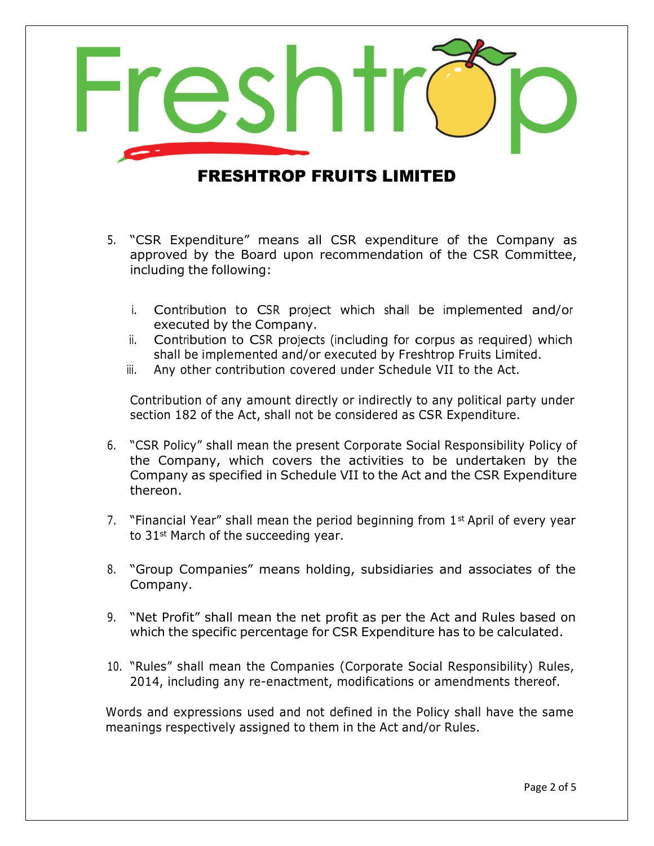

- 5. "CSR Expenditure" means all CSR expenditure of the Company as approved by the Board upon recommendation of the CSR Committee, including the following:
	- i. Contribution to CSR project which shall be implemented and/or executed by the Company.
	- ii. Contribution to CSR projects (including for corpus as required) which shall be implemented and/or executed by Freshtrop Fruits Limited.
	- iii. Any other contribution covered under Schedule VII to the Act.

Contribution of any amount directly or indirectly to any political party under section 182 of the Act, shall not be considered as CSR Expenditure.

- 6. "CSR Policy" shall mean the present Corporate Social Responsibility Policy of the Company, which covers the activities to be undertaken by the Company as specified in Schedule VII to the Act and the CSR Expenditure thereon.
- 7. "Financial Year" shall mean the period beginning from  $1<sup>st</sup>$  April of every year to 31<sup>st</sup> March of the succeeding year.
- 8. "Group Companies" means holding, subsidiaries and associates of the Company.
- 9. "Net Profit" shall mean the net profit as per the Act and Rules based on which the specific percentage for CSR Expenditure has to be calculated.
- 10. "Rules" shall mean the Companies (Corporate Social Responsibility) Rules, 2014, including any re-enactment, modifications or amendments thereof.

Words and expressions used and not defined in the Policy shall have the same meanings respectively assigned to them in the Act and/or Rules.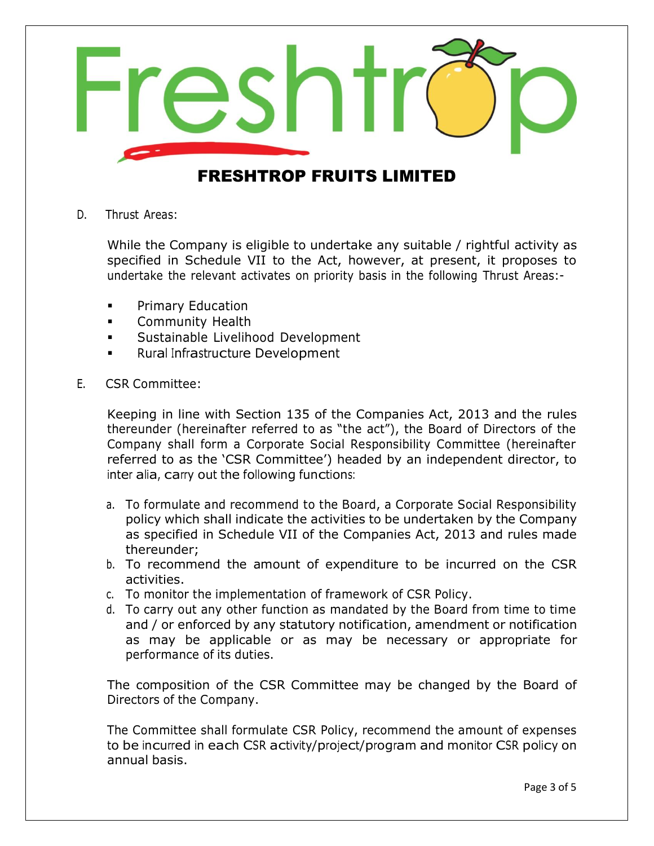

D. Thrust Areas:

While the Company is eligible to undertake any suitable / rightful activity as specified in Schedule VII to the Act, however, at present, it proposes to undertake the relevant activates on priority basis in the following Thrust Areas:-

- Primary Education
- **EXECOMMUNITY Health**
- Sustainable Livelihood Development
- Rural Infrastructure Development
- E. CSR Committee:

Keeping in line with Section 135 of the Companies Act, 2013 and the rules thereunder (hereinafter referred to as "the act"), the Board of Directors of the Company shall form a Corporate Social Responsibility Committee (hereinafter referred to as the 'CSR Committee') headed by an independent director, to inter alia, carry out the following functions:

- a. To formulate and recommend to the Board, a Corporate Social Responsibility policy which shall indicate the activities to be undertaken by the Company as specified in Schedule VII of the Companies Act, 2013 and rules made thereunder;
- b. To recommend the amount of expenditure to be incurred on the CSR activities.
- c. To monitor the implementation of framework of CSR Policy.
- d. To carry out any other function as mandated by the Board from time to time and / or enforced by any statutory notification, amendment or notification as may be applicable or as may be necessary or appropriate for performance of its duties.

The composition of the CSR Committee may be changed by the Board of Directors of the Company.

The Committee shall formulate CSR Policy, recommend the amount of expenses to be incurred in each CSR activity/project/program and monitor CSR policy on annual basis.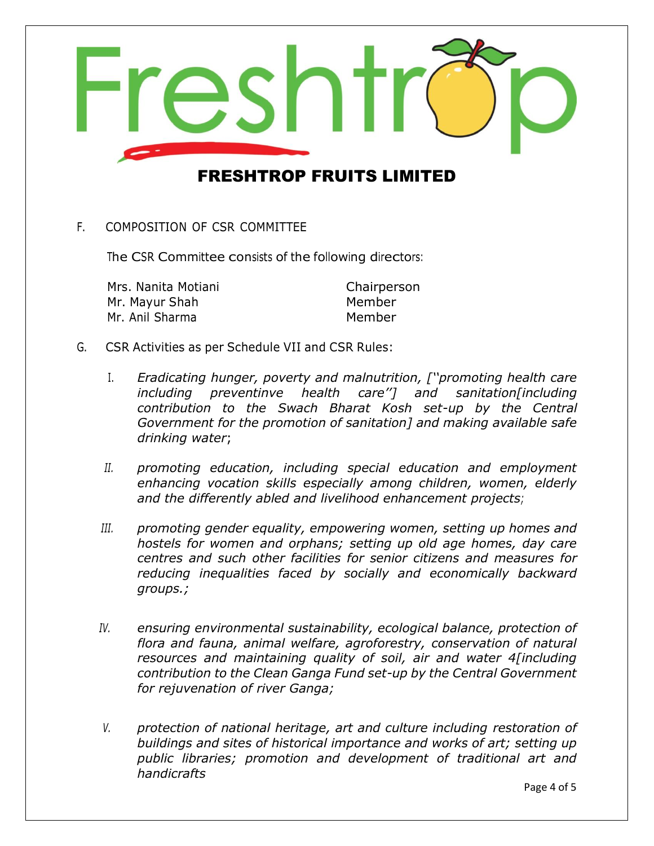

F. COMPOSITION OF CSR COMMITTEE

The CSR Committee consists of the following directors:

Mrs. Nanita Motiani Chairperson Mr. Mayur Shah Member Mr. Anil Sharma Member

- G. CSR Activities as per Schedule VII and CSR Rules:
	- I. *Eradicating hunger, poverty and malnutrition, [''promoting health care including preventinve health care''] and sanitation[including contribution to the Swach Bharat Kosh set-up by the Central Government for the promotion of sanitation] and making available safe drinking water*;
	- *II. promoting education, including special education and employment enhancing vocation skills especially among children, women, elderly and the differently abled and livelihood enhancement projects;*
	- *III. promoting gender equality, empowering women, setting up homes and hostels for women and orphans; setting up old age homes, day care centres and such other facilities for senior citizens and measures for reducing inequalities faced by socially and economically backward groups.;*
	- *IV. ensuring environmental sustainability, ecological balance, protection of flora and fauna, animal welfare, agroforestry, conservation of natural resources and maintaining quality of soil, air and water 4[including contribution to the Clean Ganga Fund set-up by the Central Government for rejuvenation of river Ganga;*
	- *V. protection of national heritage, art and culture including restoration of buildings and sites of historical importance and works of art; setting up public libraries; promotion and development of traditional art and handicrafts*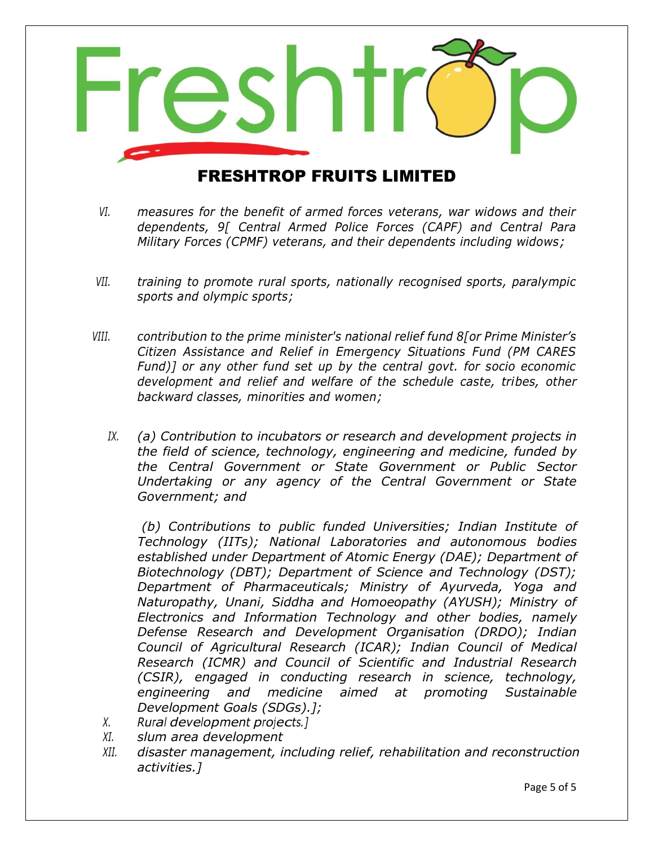

- *VI. measures for the benefit of armed forces veterans, war widows and their dependents, 9[ Central Armed Police Forces (CAPF) and Central Para Military Forces (CPMF) veterans, and their dependents including widows;*
- *VII. training to promote rural sports, nationally recognised sports, paralympic sports and olympic sports;*
- *VIII. contribution to the prime minister's national relief fund 8[or Prime Minister's Citizen Assistance and Relief in Emergency Situations Fund (PM CARES Fund)] or any other fund set up by the central govt. for socio economic development and relief and welfare of the schedule caste, tribes, other backward classes, minorities and women;*
	- *IX. (a) Contribution to incubators or research and development projects in the field of science, technology, engineering and medicine, funded by the Central Government or State Government or Public Sector Undertaking or any agency of the Central Government or State Government; and*

*(b) Contributions to public funded Universities; Indian Institute of Technology (IITs); National Laboratories and autonomous bodies established under Department of Atomic Energy (DAE); Department of Biotechnology (DBT); Department of Science and Technology (DST); Department of Pharmaceuticals; Ministry of Ayurveda, Yoga and Naturopathy, Unani, Siddha and Homoeopathy (AYUSH); Ministry of Electronics and Information Technology and other bodies, namely Defense Research and Development Organisation (DRDO); Indian Council of Agricultural Research (ICAR); Indian Council of Medical Research (ICMR) and Council of Scientific and Industrial Research (CSIR), engaged in conducting research in science, technology, engineering and medicine aimed at promoting Sustainable Development Goals (SDGs).];*

- *X. Rural development projects.]*
- *XI. slum area development*
- *XII. disaster management, including relief, rehabilitation and reconstruction activities.]*